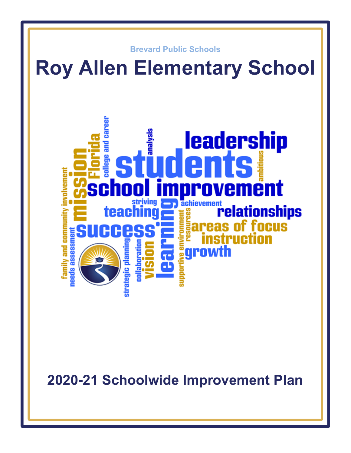

**2020-21 Schoolwide Improvement Plan**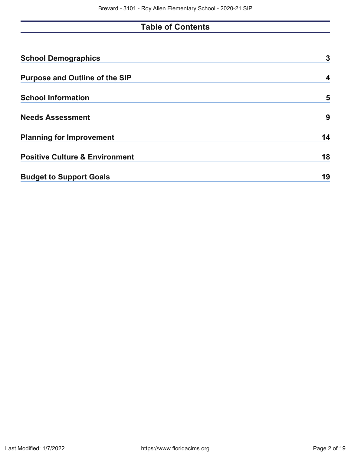# **Table of Contents**

| <b>School Demographics</b>                | 3  |
|-------------------------------------------|----|
| <b>Purpose and Outline of the SIP</b>     | 4  |
| <b>School Information</b>                 | 5  |
| <b>Needs Assessment</b>                   | 9  |
| <b>Planning for Improvement</b>           | 14 |
| <b>Positive Culture &amp; Environment</b> | 18 |
| <b>Budget to Support Goals</b>            | 19 |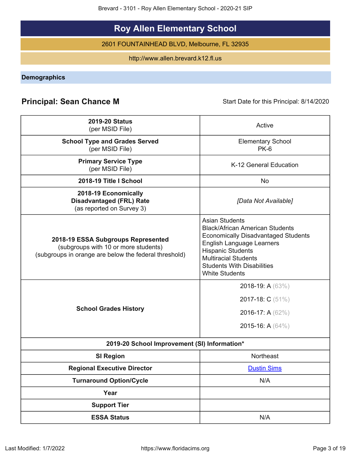Brevard - 3101 - Roy Allen Elementary School - 2020-21 SIP

# **Roy Allen Elementary School**

2601 FOUNTAINHEAD BLVD, Melbourne, FL 32935

http://www.allen.brevard.k12.fl.us

<span id="page-2-0"></span>**Demographics**

# **Principal: Sean Chance M** Start Date for this Principal: 8/14/2020

| <b>2019-20 Status</b><br>(per MSID File)                                                                                            | Active                                                                                                                                                                                                                                                              |
|-------------------------------------------------------------------------------------------------------------------------------------|---------------------------------------------------------------------------------------------------------------------------------------------------------------------------------------------------------------------------------------------------------------------|
| <b>School Type and Grades Served</b><br>(per MSID File)                                                                             | <b>Elementary School</b><br>$PK-6$                                                                                                                                                                                                                                  |
| <b>Primary Service Type</b><br>(per MSID File)                                                                                      | K-12 General Education                                                                                                                                                                                                                                              |
| 2018-19 Title I School                                                                                                              | <b>No</b>                                                                                                                                                                                                                                                           |
| 2018-19 Economically<br><b>Disadvantaged (FRL) Rate</b><br>(as reported on Survey 3)                                                | [Data Not Available]                                                                                                                                                                                                                                                |
| 2018-19 ESSA Subgroups Represented<br>(subgroups with 10 or more students)<br>(subgroups in orange are below the federal threshold) | <b>Asian Students</b><br><b>Black/African American Students</b><br><b>Economically Disadvantaged Students</b><br>English Language Learners<br><b>Hispanic Students</b><br><b>Multiracial Students</b><br><b>Students With Disabilities</b><br><b>White Students</b> |
| <b>School Grades History</b>                                                                                                        | 2018-19: A (63%)<br>2017-18: C (51%)<br>2016-17: A (62%)<br>2015-16: A (64%)                                                                                                                                                                                        |
| 2019-20 School Improvement (SI) Information*                                                                                        |                                                                                                                                                                                                                                                                     |
| <b>SI Region</b>                                                                                                                    | Northeast                                                                                                                                                                                                                                                           |
| <b>Regional Executive Director</b>                                                                                                  | <b>Dustin Sims</b>                                                                                                                                                                                                                                                  |
| <b>Turnaround Option/Cycle</b>                                                                                                      | N/A                                                                                                                                                                                                                                                                 |
| Year                                                                                                                                |                                                                                                                                                                                                                                                                     |
| <b>Support Tier</b>                                                                                                                 |                                                                                                                                                                                                                                                                     |
| <b>ESSA Status</b>                                                                                                                  | N/A                                                                                                                                                                                                                                                                 |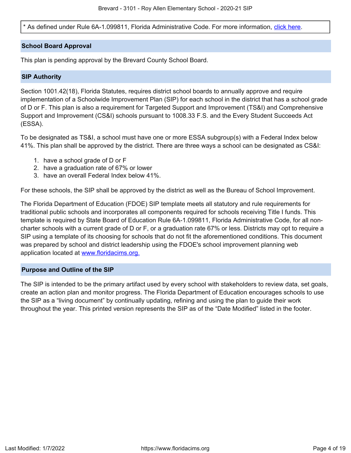\* As defined under Rule 6A-1.099811, Florida Administrative Code. For more information, [click here.](/downloads?category=da-forms)

#### **School Board Approval**

This plan is pending approval by the Brevard County School Board.

#### **SIP Authority**

Section 1001.42(18), Florida Statutes, requires district school boards to annually approve and require implementation of a Schoolwide Improvement Plan (SIP) for each school in the district that has a school grade of D or F. This plan is also a requirement for Targeted Support and Improvement (TS&I) and Comprehensive Support and Improvement (CS&I) schools pursuant to 1008.33 F.S. and the Every Student Succeeds Act (ESSA).

To be designated as TS&I, a school must have one or more ESSA subgroup(s) with a Federal Index below 41%. This plan shall be approved by the district. There are three ways a school can be designated as CS&I:

- 1. have a school grade of D or F
- 2. have a graduation rate of 67% or lower
- 3. have an overall Federal Index below 41%.

For these schools, the SIP shall be approved by the district as well as the Bureau of School Improvement.

The Florida Department of Education (FDOE) SIP template meets all statutory and rule requirements for traditional public schools and incorporates all components required for schools receiving Title I funds. This template is required by State Board of Education Rule 6A-1.099811, Florida Administrative Code, for all noncharter schools with a current grade of D or F, or a graduation rate 67% or less. Districts may opt to require a SIP using a template of its choosing for schools that do not fit the aforementioned conditions. This document was prepared by school and district leadership using the FDOE's school improvement planning web application located at [www.floridacims.org.](https://www.floridacims.org)

#### <span id="page-3-0"></span>**Purpose and Outline of the SIP**

The SIP is intended to be the primary artifact used by every school with stakeholders to review data, set goals, create an action plan and monitor progress. The Florida Department of Education encourages schools to use the SIP as a "living document" by continually updating, refining and using the plan to guide their work throughout the year. This printed version represents the SIP as of the "Date Modified" listed in the footer.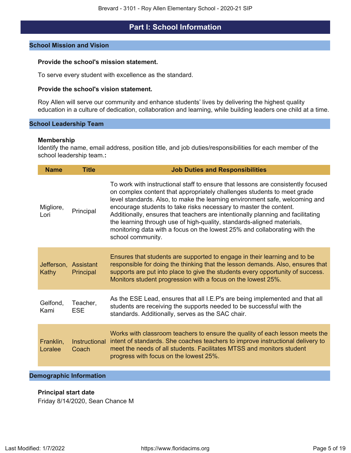# **Part I: School Information**

#### <span id="page-4-0"></span>**School Mission and Vision**

#### **Provide the school's mission statement.**

To serve every student with excellence as the standard.

#### **Provide the school's vision statement.**

Roy Allen will serve our community and enhance students' lives by delivering the highest quality education in a culture of dedication, collaboration and learning, while building leaders one child at a time.

#### **School Leadership Team**

#### **Membership**

Identify the name, email address, position title, and job duties/responsibilities for each member of the school leadership team.**:**

| <b>Name</b>                   | <b>Title</b>           | <b>Job Duties and Responsibilities</b>                                                                                                                                                                                                                                                                                                                                                                                                                                                                                                                                         |
|-------------------------------|------------------------|--------------------------------------------------------------------------------------------------------------------------------------------------------------------------------------------------------------------------------------------------------------------------------------------------------------------------------------------------------------------------------------------------------------------------------------------------------------------------------------------------------------------------------------------------------------------------------|
| Migliore,<br>Lori             | Principal              | To work with instructional staff to ensure that lessons are consistently focused<br>on complex content that appropriately challenges students to meet grade<br>level standards. Also, to make the learning environment safe, welcoming and<br>encourage students to take risks necessary to master the content.<br>Additionally, ensures that teachers are intentionally planning and facilitating<br>the learning through use of high-quality, standards-aligned materials,<br>monitoring data with a focus on the lowest 25% and collaborating with the<br>school community. |
| Jefferson, Assistant<br>Kathy | Principal              | Ensures that students are supported to engage in their learning and to be<br>responsible for doing the thinking that the lesson demands. Also, ensures that<br>supports are put into place to give the students every opportunity of success.<br>Monitors student progression with a focus on the lowest 25%.                                                                                                                                                                                                                                                                  |
| Gelfond,<br>Kami              | Teacher,<br><b>ESE</b> | As the ESE Lead, ensures that all I.E.P's are being implemented and that all<br>students are receiving the supports needed to be successful with the<br>standards. Additionally, serves as the SAC chair.                                                                                                                                                                                                                                                                                                                                                                      |
| Franklin,<br>Loralee          | Instructional<br>Coach | Works with classroom teachers to ensure the quality of each lesson meets the<br>intent of standards. She coaches teachers to improve instructional delivery to<br>meet the needs of all students. Facilitates MTSS and monitors student<br>progress with focus on the lowest 25%.                                                                                                                                                                                                                                                                                              |

#### **Demographic Information**

#### **Principal start date**

Friday 8/14/2020, Sean Chance M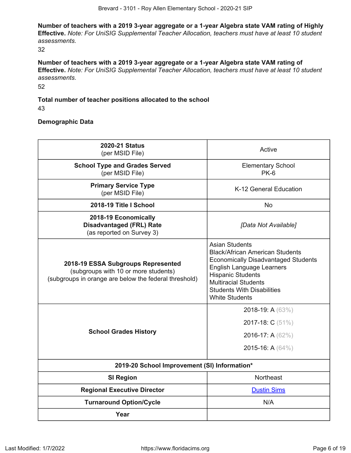**Number of teachers with a 2019 3-year aggregate or a 1-year Algebra state VAM rating of Highly Effective.** *Note: For UniSIG Supplemental Teacher Allocation, teachers must have at least 10 student assessments.*

32

**Number of teachers with a 2019 3-year aggregate or a 1-year Algebra state VAM rating of Effective.** *Note: For UniSIG Supplemental Teacher Allocation, teachers must have at least 10 student assessments.*

52

#### **Total number of teacher positions allocated to the school** 43

#### **Demographic Data**

| <b>2020-21 Status</b><br>(per MSID File)                                                                                            | Active                                                                                                                                                                                                                                                                     |
|-------------------------------------------------------------------------------------------------------------------------------------|----------------------------------------------------------------------------------------------------------------------------------------------------------------------------------------------------------------------------------------------------------------------------|
| <b>School Type and Grades Served</b><br>(per MSID File)                                                                             | <b>Elementary School</b><br>$PK-6$                                                                                                                                                                                                                                         |
| <b>Primary Service Type</b><br>(per MSID File)                                                                                      | K-12 General Education                                                                                                                                                                                                                                                     |
| 2018-19 Title I School                                                                                                              | <b>No</b>                                                                                                                                                                                                                                                                  |
| 2018-19 Economically<br><b>Disadvantaged (FRL) Rate</b><br>(as reported on Survey 3)                                                | [Data Not Available]                                                                                                                                                                                                                                                       |
| 2018-19 ESSA Subgroups Represented<br>(subgroups with 10 or more students)<br>(subgroups in orange are below the federal threshold) | <b>Asian Students</b><br><b>Black/African American Students</b><br><b>Economically Disadvantaged Students</b><br><b>English Language Learners</b><br><b>Hispanic Students</b><br><b>Multiracial Students</b><br><b>Students With Disabilities</b><br><b>White Students</b> |
| <b>School Grades History</b>                                                                                                        | 2018-19: A (63%)<br>2017-18: C (51%)<br>2016-17: A (62%)<br>2015-16: A (64%)                                                                                                                                                                                               |
| 2019-20 School Improvement (SI) Information*                                                                                        |                                                                                                                                                                                                                                                                            |
| <b>SI Region</b>                                                                                                                    | <b>Northeast</b>                                                                                                                                                                                                                                                           |
| <b>Regional Executive Director</b>                                                                                                  | <b>Dustin Sims</b>                                                                                                                                                                                                                                                         |
| <b>Turnaround Option/Cycle</b>                                                                                                      | N/A                                                                                                                                                                                                                                                                        |
| Year                                                                                                                                |                                                                                                                                                                                                                                                                            |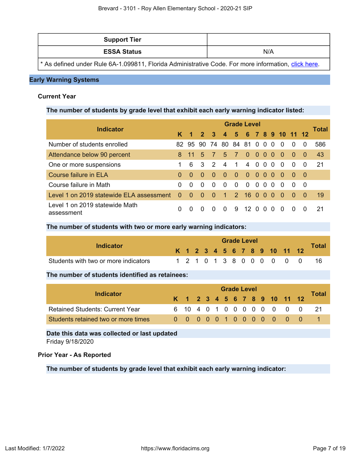| <b>Support Tier</b> |     |
|---------------------|-----|
| <b>ESSA Status</b>  | N/A |

\* As defined under Rule 6A-1.099811, Florida Administrative Code. For more information, [click here.](https://www.flrules.org/gateway/ruleNo.asp?id=6A-1.099811)

#### **Early Warning Systems**

#### **Current Year**

**The number of students by grade level that exhibit each early warning indicator listed:**

| <b>Indicator</b>                             |          | <b>Grade Level</b>   |                |                         |                  |                |                    |          |                   |          |          |              |          |       |  |
|----------------------------------------------|----------|----------------------|----------------|-------------------------|------------------|----------------|--------------------|----------|-------------------|----------|----------|--------------|----------|-------|--|
|                                              |          | $\blacktriangleleft$ | $\overline{2}$ | $\overline{\mathbf{3}}$ | $\boldsymbol{4}$ |                | 5 6 7 8 9 10 11 12 |          |                   |          |          |              |          | Total |  |
| Number of students enrolled                  |          |                      | 82 95 90 74    |                         |                  |                | 80 84 81 0 0 0     |          |                   |          | $\Omega$ | $\Omega$     | $\Omega$ | 586   |  |
| Attendance below 90 percent                  | 8.       | $-11$                | 5              | $\mathcal{I}$           | $-5-$            | $\sim$ 7       | $\Omega$           |          | $000$             |          | $\Omega$ | $\Omega$     | - 0      | 43    |  |
| One or more suspensions                      |          | 6                    | 3 <sup>3</sup> | $\mathcal{P}$           | $\overline{4}$   | $\overline{1}$ | $\overline{4}$     |          | $0\quad 0\quad 0$ |          | $\Omega$ | $\Omega$     | $\Omega$ | -21   |  |
| Course failure in ELA                        | $\Omega$ | $\Omega$             | $\Omega$       | $\bullet$               | - 0              | - 0            | $\bullet$          |          | $000$             |          | - 0      | - 0-         | - 0      |       |  |
| Course failure in Math                       | 0        | $\Omega$             | $\Omega$       | $\Omega$                | $\Omega$         | $\Omega$       | $\Omega$           | $\Omega$ | $\Omega$          | $\Omega$ | $\Omega$ | <sup>0</sup> | - 0      |       |  |
| Level 1 on 2019 statewide ELA assessment     | $\Omega$ | $\Omega$             | $\Omega$       | $\Omega$                | $\mathbf{1}$     | $\mathcal{P}$  | 16 <sub>0</sub>    |          | $\Omega$          | $\Omega$ | $\Omega$ | $\Omega$     | - 0      | 19    |  |
| Level 1 on 2019 statewide Math<br>assessment | 0        | $\Omega$             | $\Omega$       | $\Omega$                | <sup>0</sup>     | 9              | 12 <sub>0</sub>    |          | $\Omega$          | $\Omega$ | $\Omega$ | $\Omega$     | $\Omega$ | -21   |  |

#### **The number of students with two or more early warning indicators:**

| Indicator                            |  |  |  | <b>Grade Level</b> |  |  |                              | <b>Total</b> |
|--------------------------------------|--|--|--|--------------------|--|--|------------------------------|--------------|
|                                      |  |  |  |                    |  |  | K 1 2 3 4 5 6 7 8 9 10 11 12 |              |
| Students with two or more indicators |  |  |  |                    |  |  | 1 2 1 0 1 3 8 0 0 0 0 0 0    |              |

#### **The number of students identified as retainees:**

| Indicator                              | <b>Grade Level</b> |  |  |  |  |  |  |  |  |  |  |                              |                            |       |  |
|----------------------------------------|--------------------|--|--|--|--|--|--|--|--|--|--|------------------------------|----------------------------|-------|--|
|                                        |                    |  |  |  |  |  |  |  |  |  |  | K 1 2 3 4 5 6 7 8 9 10 11 12 |                            | Total |  |
| <b>Retained Students: Current Year</b> |                    |  |  |  |  |  |  |  |  |  |  |                              | 6 10 4 0 1 0 0 0 0 0 0 0 0 | - 21  |  |
| Students retained two or more times    |                    |  |  |  |  |  |  |  |  |  |  | 0 0 0 0 0 1 0 0 0 0 0 0 0    |                            |       |  |

**Date this data was collected or last updated**

Friday 9/18/2020

#### **Prior Year - As Reported**

**The number of students by grade level that exhibit each early warning indicator:**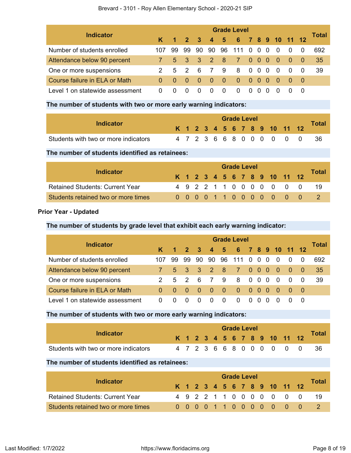#### Brevard - 3101 - Roy Allen Elementary School - 2020-21 SIP

| <b>Indicator</b>                | <b>Grade Level</b> |     |             |                         |                |     |                  |                   |                                               |  |          |          |          |       |  |
|---------------------------------|--------------------|-----|-------------|-------------------------|----------------|-----|------------------|-------------------|-----------------------------------------------|--|----------|----------|----------|-------|--|
|                                 | K.                 |     | $1 \quad 2$ | $\overline{\mathbf{3}}$ | 4 5            |     | 6 7 8 9 10 11 12 |                   |                                               |  |          |          |          | Total |  |
| Number of students enrolled     | 107                | 99. | 99          | 90                      | 90             | 96  | 111              | $0\quad 0\quad 0$ |                                               |  | $\Omega$ | 0        | 0        | 692   |  |
| Attendance below 90 percent     |                    |     |             | 5 3 3 2 8               |                |     | <sup>7</sup>     |                   | $\begin{array}{ccc} 0 & 0 & 0 \\ \end{array}$ |  | - 0      | - 0      | - 0      | 35    |  |
| One or more suspensions         | $\mathcal{P}$      |     | $5\quad 2$  | - 6                     | $\overline{7}$ | - 9 | 8                |                   | $0\quad 0\quad 0$                             |  | - 0      | $\Omega$ | $\Omega$ | 39    |  |
| Course failure in ELA or Math   | 0                  |     | $0 \quad 0$ | -0                      | -0             | 0   | 0                | $0\quad 0\quad 0$ |                                               |  | - 0      |          | - 0      |       |  |
| Level 1 on statewide assessment | 0                  |     | 0           | $\Omega$                | 0              | 0   | 0                | 0                 | $\Omega$                                      |  |          |          | -0       |       |  |

#### **The number of students with two or more early warning indicators:**

| Indicator                            |  |  |  | <b>Grade Level</b> |  |                              |               |              |
|--------------------------------------|--|--|--|--------------------|--|------------------------------|---------------|--------------|
|                                      |  |  |  |                    |  | K 1 2 3 4 5 6 7 8 9 10 11 12 |               | <b>Total</b> |
| Students with two or more indicators |  |  |  |                    |  |                              | 4723668000000 |              |

#### **The number of students identified as retainees:**

| Indicator                              |  |  |  | <b>Grade Level</b> |  |  |                              |       |
|----------------------------------------|--|--|--|--------------------|--|--|------------------------------|-------|
|                                        |  |  |  |                    |  |  | K 1 2 3 4 5 6 7 8 9 10 11 12 | Total |
| <b>Retained Students: Current Year</b> |  |  |  |                    |  |  | 4 9 2 2 1 1 0 0 0 0 0 0 0    | -19   |
| Students retained two or more times    |  |  |  |                    |  |  | 0 0 0 0 1 1 0 0 0 0 0 0 0    |       |

### **Prior Year - Updated**

#### **The number of students by grade level that exhibit each early warning indicator:**

| <b>Indicator</b>                | <b>Grade Level</b> |             |                     |          |              |                |                      |                                            |     |          |     |          |     |       |  |
|---------------------------------|--------------------|-------------|---------------------|----------|--------------|----------------|----------------------|--------------------------------------------|-----|----------|-----|----------|-----|-------|--|
|                                 | K.                 |             | $1 \quad 2 \quad 3$ |          |              |                | 4 5 6 7 8 9 10 11 12 |                                            |     |          |     |          |     | Total |  |
| Number of students enrolled     | 107                | 99          | 99                  | 90       | 90           | 96             | 111                  | $0\quad0$                                  |     | $\Omega$ | - 0 | $\Omega$ | -0  | 692   |  |
| Attendance below 90 percent     |                    |             |                     |          |              |                | 5 3 3 2 8 7          | $\begin{array}{ccc} 0 & 0 & 0 \end{array}$ |     |          | - 0 | - 0      | - 0 | 35    |  |
| One or more suspensions         | $\mathcal{P}$      |             | $5 \quad 2$         | - 6      |              | 79             | -8                   | $0\quad 0$                                 |     | $\Omega$ | - 0 | $\Omega$ | - 0 | 39    |  |
| Course failure in ELA or Math   | $\Omega$           | $0 \quad 0$ |                     | - 0      | - 0          | $\blacksquare$ | $\overline{0}$       | 000                                        |     |          | _ റ | - 0      | - റ |       |  |
| Level 1 on statewide assessment | $\Omega$           |             | 0                   | $\Omega$ | $\mathbf{0}$ | $\Omega$       | $\Omega$             | $\Omega$                                   | - 0 | $\Omega$ |     |          |     |       |  |

#### **The number of students with two or more early warning indicators:**

| Indicator                            |  | <b>Grade Level</b> |  |  |  |  |  |  |  |  |  |                              |               |              |
|--------------------------------------|--|--------------------|--|--|--|--|--|--|--|--|--|------------------------------|---------------|--------------|
|                                      |  |                    |  |  |  |  |  |  |  |  |  | K 1 2 3 4 5 6 7 8 9 10 11 12 |               | <b>Total</b> |
| Students with two or more indicators |  |                    |  |  |  |  |  |  |  |  |  |                              | 4723668000000 | -36          |

#### **The number of students identified as retainees:**

| Indicator                              |  | <b>Grade Level</b> |  |  |  |  |  |  |  |  |  |                              |  |       |
|----------------------------------------|--|--------------------|--|--|--|--|--|--|--|--|--|------------------------------|--|-------|
|                                        |  |                    |  |  |  |  |  |  |  |  |  | K 1 2 3 4 5 6 7 8 9 10 11 12 |  | Total |
| <b>Retained Students: Current Year</b> |  |                    |  |  |  |  |  |  |  |  |  | 4 9 2 2 1 1 0 0 0 0 0 0 0    |  | -19   |
| Students retained two or more times    |  |                    |  |  |  |  |  |  |  |  |  | 0 0 0 0 1 1 0 0 0 0 0 0 0    |  |       |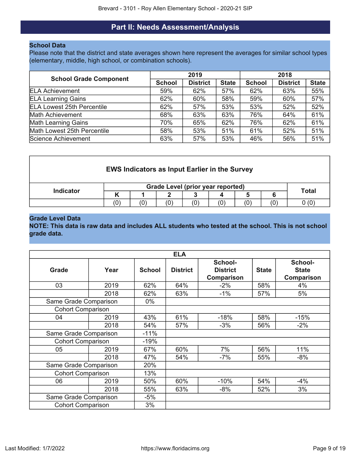# **Part II: Needs Assessment/Analysis**

#### <span id="page-8-0"></span>**School Data**

Please note that the district and state averages shown here represent the averages for similar school types (elementary, middle, high school, or combination schools).

| <b>School Grade Component</b>     |               | 2019            |              | 2018          |                 |              |  |  |
|-----------------------------------|---------------|-----------------|--------------|---------------|-----------------|--------------|--|--|
|                                   | <b>School</b> | <b>District</b> | <b>State</b> | <b>School</b> | <b>District</b> | <b>State</b> |  |  |
| <b>ELA Achievement</b>            | 59%           | 62%             | 57%          | 62%           | 63%             | 55%          |  |  |
| <b>ELA Learning Gains</b>         | 62%           | 60%             | 58%          | 59%           | 60%             | 57%          |  |  |
| <b>ELA Lowest 25th Percentile</b> | 62%           | 57%             | 53%          | 53%           | 52%             | 52%          |  |  |
| <b>Math Achievement</b>           | 68%           | 63%             | 63%          | 76%           | 64%             | 61%          |  |  |
| <b>Math Learning Gains</b>        | 70%           | 65%             | 62%          | 76%           | 62%             | 61%          |  |  |
| Math Lowest 25th Percentile       | 58%           | 53%             | 51%          | 61%           | 52%             | 51%          |  |  |
| Science Achievement               | 63%           | 57%             | 53%          | 46%           | 56%             | 51%          |  |  |

| <b>EWS Indicators as Input Earlier in the Survey</b> |     |              |     |     |     |     |     |  |  |  |
|------------------------------------------------------|-----|--------------|-----|-----|-----|-----|-----|--|--|--|
| <b>Indicator</b>                                     |     | <b>Total</b> |     |     |     |     |     |  |  |  |
|                                                      |     |              |     |     |     |     |     |  |  |  |
|                                                      | (0) | (0)          | (0) | (0) | (0) | (0) | (0) |  |  |  |

#### **Grade Level Data**

**NOTE: This data is raw data and includes ALL students who tested at the school. This is not school grade data.**

|                          |      |               | <b>ELA</b>      |                                          |              |                                              |
|--------------------------|------|---------------|-----------------|------------------------------------------|--------------|----------------------------------------------|
| Grade                    | Year | <b>School</b> | <b>District</b> | School-<br><b>District</b><br>Comparison | <b>State</b> | School-<br><b>State</b><br><b>Comparison</b> |
| 03                       | 2019 | 62%           | 64%             | $-2%$                                    | 58%          | 4%                                           |
|                          | 2018 | 62%           | 63%             | $-1\%$                                   | 57%          | 5%                                           |
| Same Grade Comparison    |      | $0\%$         |                 |                                          |              |                                              |
| <b>Cohort Comparison</b> |      |               |                 |                                          |              |                                              |
| 04                       | 2019 | 43%           | 61%             | $-18%$                                   | 58%          | $-15%$                                       |
|                          | 2018 | 54%           | 57%             | $-3%$                                    | 56%          | $-2%$                                        |
| Same Grade Comparison    |      | $-11%$        |                 |                                          |              |                                              |
| <b>Cohort Comparison</b> |      | $-19%$        |                 |                                          |              |                                              |
| 05                       | 2019 | 67%           | 60%             | 7%                                       | 56%          | 11%                                          |
|                          | 2018 | 47%           | 54%             | $-7%$                                    | 55%          | $-8%$                                        |
| Same Grade Comparison    |      | 20%           |                 |                                          |              |                                              |
| <b>Cohort Comparison</b> |      | 13%           |                 |                                          |              |                                              |
| 06                       | 2019 | 50%           | 60%             | $-10%$                                   | 54%          | $-4%$                                        |
|                          | 2018 | 55%           | 63%             | $-8%$                                    | 52%          | 3%                                           |
| Same Grade Comparison    |      | $-5%$         |                 |                                          |              |                                              |
| <b>Cohort Comparison</b> |      | 3%            |                 |                                          |              |                                              |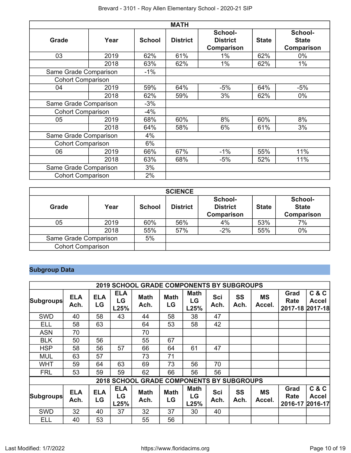|                          | <b>MATH</b> |               |                 |                                          |              |                                       |  |  |  |  |  |  |
|--------------------------|-------------|---------------|-----------------|------------------------------------------|--------------|---------------------------------------|--|--|--|--|--|--|
| <b>Grade</b>             | Year        | <b>School</b> | <b>District</b> | School-<br><b>District</b><br>Comparison | <b>State</b> | School-<br><b>State</b><br>Comparison |  |  |  |  |  |  |
| 03                       | 2019        | 62%           | 61%             | $1\%$                                    | 62%          | $0\%$                                 |  |  |  |  |  |  |
|                          | 2018        | 63%           | 62%             | $1\%$                                    | 62%          | 1%                                    |  |  |  |  |  |  |
| Same Grade Comparison    |             | $-1%$         |                 |                                          |              |                                       |  |  |  |  |  |  |
| <b>Cohort Comparison</b> |             |               |                 |                                          |              |                                       |  |  |  |  |  |  |
| 04                       | 2019        | 59%           | 64%             | $-5%$                                    | 64%          | $-5%$                                 |  |  |  |  |  |  |
|                          | 2018        | 62%           | 59%             | 3%                                       | 62%          | $0\%$                                 |  |  |  |  |  |  |
| Same Grade Comparison    |             | $-3%$         |                 |                                          |              |                                       |  |  |  |  |  |  |
| <b>Cohort Comparison</b> |             | $-4%$         |                 |                                          |              |                                       |  |  |  |  |  |  |
| 05                       | 2019        | 68%           | 60%             | 8%                                       | 60%          | 8%                                    |  |  |  |  |  |  |
|                          | 2018        | 64%           | 58%             | 6%                                       | 61%          | 3%                                    |  |  |  |  |  |  |
| Same Grade Comparison    |             | 4%            |                 |                                          |              |                                       |  |  |  |  |  |  |
| <b>Cohort Comparison</b> |             | 6%            |                 |                                          |              |                                       |  |  |  |  |  |  |
| 06                       | 2019        | 66%           | 67%             | $-1\%$                                   | 55%          | 11%                                   |  |  |  |  |  |  |
|                          | 2018        | 63%           | 68%             | $-5%$                                    | 52%          | 11%                                   |  |  |  |  |  |  |
| Same Grade Comparison    |             | 3%            |                 |                                          |              |                                       |  |  |  |  |  |  |
| <b>Cohort Comparison</b> |             | 2%            |                 |                                          |              |                                       |  |  |  |  |  |  |

|                          | <b>SCIENCE</b> |               |                 |                                                 |              |                                              |  |  |  |  |  |
|--------------------------|----------------|---------------|-----------------|-------------------------------------------------|--------------|----------------------------------------------|--|--|--|--|--|
| Grade                    | Year           | <b>School</b> | <b>District</b> | School-<br><b>District</b><br><b>Comparison</b> | <b>State</b> | School-<br><b>State</b><br><b>Comparison</b> |  |  |  |  |  |
| 05                       | 2019           | 60%           | 56%             | 4%                                              | 53%          | 7%                                           |  |  |  |  |  |
|                          | 2018           | 55%           | 57%             | $-2%$                                           | 55%          | 0%                                           |  |  |  |  |  |
| Same Grade Comparison    | 5%             |               |                 |                                                 |              |                                              |  |  |  |  |  |
| <b>Cohort Comparison</b> |                |               |                 |                                                 |              |                                              |  |  |  |  |  |

# **Subgroup Data**

|                  |                    |                  |                          | <b>2019 SCHOOL GRADE COMPONENTS BY SUBGROUPS</b> |                   |                           |             |                   |                     |                                 |                                           |
|------------------|--------------------|------------------|--------------------------|--------------------------------------------------|-------------------|---------------------------|-------------|-------------------|---------------------|---------------------------------|-------------------------------------------|
| <b>Subgroups</b> | <b>ELA</b><br>Ach. | <b>ELA</b><br>LG | <b>ELA</b><br>LG<br>L25% | <b>Math</b><br>Ach.                              | <b>Math</b><br>LG | <b>Math</b><br>LG<br>L25% | Sci<br>Ach. | <b>SS</b><br>Ach. | <b>MS</b><br>Accel. | Grad<br>Rate<br>2017-18 2017-18 | C & C<br><b>Accel</b>                     |
| <b>SWD</b>       | 40                 | 58               | 43                       | 44                                               | 58                | 38                        | 47          |                   |                     |                                 |                                           |
| <b>ELL</b>       | 58                 | 63               |                          | 64                                               | 53                | 58                        | 42          |                   |                     |                                 |                                           |
| <b>ASN</b>       | 70                 |                  |                          | 70                                               |                   |                           |             |                   |                     |                                 |                                           |
| <b>BLK</b>       | 50                 | 56               |                          | 55                                               | 67                |                           |             |                   |                     |                                 |                                           |
| <b>HSP</b>       | 58                 | 56               | 57                       | 66                                               | 64                | 61                        | 47          |                   |                     |                                 |                                           |
| <b>MUL</b>       | 63                 | 57               |                          | 73                                               | 71                |                           |             |                   |                     |                                 |                                           |
| <b>WHT</b>       | 59                 | 64               | 63                       | 69                                               | 73                | 56                        | 70          |                   |                     |                                 |                                           |
| <b>FRL</b>       | 53                 | 59               | 59                       | 62                                               | 66                | 56                        | 56          |                   |                     |                                 |                                           |
|                  |                    |                  |                          | 2018 SCHOOL GRADE COMPONENTS BY SUBGROUPS        |                   |                           |             |                   |                     |                                 |                                           |
| <b>Subgroups</b> | <b>ELA</b><br>Ach. | <b>ELA</b><br>LG | <b>ELA</b><br>LG<br>L25% | <b>Math</b><br>Ach.                              | <b>Math</b><br>LG | <b>Math</b><br>LG<br>L25% | Sci<br>Ach. | <b>SS</b><br>Ach. | <b>MS</b><br>Accel. | Grad<br>Rate<br>2016-17         | <b>C&amp;C</b><br><b>Accel</b><br>2016-17 |
| <b>SWD</b>       | 32                 | 40               | 37                       | 32                                               | 37                | 30                        | 40          |                   |                     |                                 |                                           |
| <b>ELL</b>       | 40                 | 53               |                          | 55                                               | 56                |                           |             |                   |                     |                                 |                                           |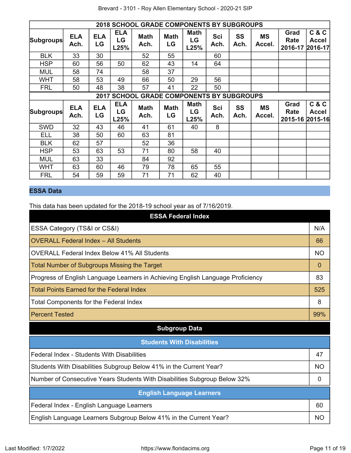|                                                  | <b>2018 SCHOOL GRADE COMPONENTS BY SUBGROUPS</b> |                  |                          |                     |                   |                           |             |                   |                     |                                 |                                  |  |  |
|--------------------------------------------------|--------------------------------------------------|------------------|--------------------------|---------------------|-------------------|---------------------------|-------------|-------------------|---------------------|---------------------------------|----------------------------------|--|--|
| <b>Subgroups</b>                                 | <b>ELA</b><br>Ach.                               | <b>ELA</b><br>LG | <b>ELA</b><br>LG<br>L25% | <b>Math</b><br>Ach. | <b>Math</b><br>LG | <b>Math</b><br>LG<br>L25% | Sci<br>Ach. | SS<br>Ach.        | <b>MS</b><br>Accel. | Grad<br>Rate<br>2016-17         | C & C<br><b>Accel</b><br>2016-17 |  |  |
| <b>BLK</b>                                       | 33                                               | 30               |                          | 52                  | 55                |                           | 60          |                   |                     |                                 |                                  |  |  |
| <b>HSP</b>                                       | 60                                               | 56               | 50                       | 62                  | 43                | 14                        | 64          |                   |                     |                                 |                                  |  |  |
| <b>MUL</b>                                       | 58                                               | 74               |                          | 58                  | 37                |                           |             |                   |                     |                                 |                                  |  |  |
| <b>WHT</b>                                       | 58                                               | 53               | 49                       | 66                  | 50                | 29                        | 56          |                   |                     |                                 |                                  |  |  |
| <b>FRL</b>                                       | 50                                               | 48               | 38                       | 57                  | 41                | 22                        | 50          |                   |                     |                                 |                                  |  |  |
| <b>2017 SCHOOL GRADE COMPONENTS BY SUBGROUPS</b> |                                                  |                  |                          |                     |                   |                           |             |                   |                     |                                 |                                  |  |  |
| <b>Subgroups</b>                                 | <b>ELA</b><br>Ach.                               | <b>ELA</b><br>LG | <b>ELA</b><br>LG<br>L25% | <b>Math</b><br>Ach. | <b>Math</b><br>LG | <b>Math</b><br>LG<br>L25% | Sci<br>Ach. | <b>SS</b><br>Ach. | <b>MS</b><br>Accel. | Grad<br>Rate<br>2015-16 2015-16 | C & C<br><b>Accel</b>            |  |  |
| <b>SWD</b>                                       | 32                                               | 43               | 46                       | 41                  | 61                | 40                        | 8           |                   |                     |                                 |                                  |  |  |
| <b>ELL</b>                                       | 38                                               | 50               | 60                       | 63                  | 81                |                           |             |                   |                     |                                 |                                  |  |  |
| <b>BLK</b>                                       | 62                                               | 57               |                          | 52                  | 36                |                           |             |                   |                     |                                 |                                  |  |  |
| <b>HSP</b>                                       | 53                                               | 63               | 53                       | 71                  | 80                | 58                        | 40          |                   |                     |                                 |                                  |  |  |
| <b>MUL</b>                                       | 63                                               | 33               |                          | 84                  | 92                |                           |             |                   |                     |                                 |                                  |  |  |
| WHT                                              | 63                                               | 60               | 46                       | 79                  | 78                | 65                        | 55          |                   |                     |                                 |                                  |  |  |
| <b>FRL</b>                                       | 54                                               | 59               | 59                       | 71                  | 71                | 62                        | 40          |                   |                     |                                 |                                  |  |  |

# **ESSA Data**

This data has been updated for the 2018-19 school year as of 7/16/2019.

| <b>ESSA Federal Index</b>                                                       |           |
|---------------------------------------------------------------------------------|-----------|
| ESSA Category (TS&I or CS&I)                                                    | N/A       |
| <b>OVERALL Federal Index - All Students</b>                                     | 66        |
| <b>OVERALL Federal Index Below 41% All Students</b>                             | <b>NO</b> |
| <b>Total Number of Subgroups Missing the Target</b>                             | 0         |
| Progress of English Language Learners in Achieving English Language Proficiency | 83        |
| <b>Total Points Earned for the Federal Index</b>                                | 525       |
| Total Components for the Federal Index                                          | 8         |
| <b>Percent Tested</b>                                                           | 99%       |
| <b>Subgroup Data</b>                                                            |           |
| <b>Students With Disabilities</b>                                               |           |
| Federal Index - Students With Disabilities                                      | 47        |
| Students With Disabilities Subgroup Below 41% in the Current Year?              | <b>NO</b> |
| Number of Consecutive Years Students With Disabilities Subgroup Below 32%       | 0         |
| <b>English Language Learners</b>                                                |           |
| Federal Index - English Language Learners                                       | 60        |
| English Language Learners Subgroup Below 41% in the Current Year?               | <b>NO</b> |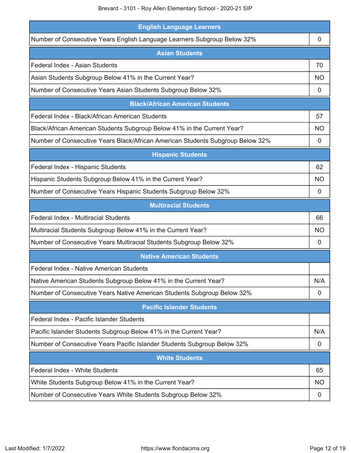| <b>English Language Learners</b>                                               |           |
|--------------------------------------------------------------------------------|-----------|
| Number of Consecutive Years English Language Learners Subgroup Below 32%       | 0         |
| <b>Asian Students</b>                                                          |           |
| Federal Index - Asian Students                                                 | 70        |
| Asian Students Subgroup Below 41% in the Current Year?                         | NO        |
| Number of Consecutive Years Asian Students Subgroup Below 32%                  | 0         |
| <b>Black/African American Students</b>                                         |           |
| Federal Index - Black/African American Students                                | 57        |
| Black/African American Students Subgroup Below 41% in the Current Year?        | <b>NO</b> |
| Number of Consecutive Years Black/African American Students Subgroup Below 32% | 0         |
| <b>Hispanic Students</b>                                                       |           |
| Federal Index - Hispanic Students                                              | 62        |
| Hispanic Students Subgroup Below 41% in the Current Year?                      | NO        |
| Number of Consecutive Years Hispanic Students Subgroup Below 32%               | 0         |
| <b>Multiracial Students</b>                                                    |           |
| <b>Federal Index - Multiracial Students</b>                                    | 66        |
| Multiracial Students Subgroup Below 41% in the Current Year?                   | <b>NO</b> |
| Number of Consecutive Years Multiracial Students Subgroup Below 32%            | 0         |
| <b>Native American Students</b>                                                |           |
| Federal Index - Native American Students                                       |           |
| Native American Students Subgroup Below 41% in the Current Year?               | N/A       |
| Number of Consecutive Years Native American Students Subgroup Below 32%        | 0         |
| <b>Pacific Islander Students</b>                                               |           |
| Federal Index - Pacific Islander Students                                      |           |
| Pacific Islander Students Subgroup Below 41% in the Current Year?              | N/A       |
| Number of Consecutive Years Pacific Islander Students Subgroup Below 32%       | 0         |
| <b>White Students</b>                                                          |           |
| Federal Index - White Students                                                 | 65        |
| White Students Subgroup Below 41% in the Current Year?                         | <b>NO</b> |
| Number of Consecutive Years White Students Subgroup Below 32%                  | 0         |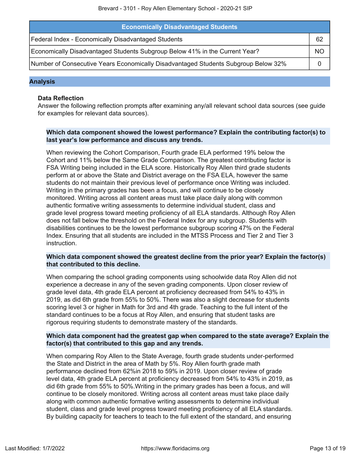| <b>Economically Disadvantaged Students</b>                                         |    |
|------------------------------------------------------------------------------------|----|
| Federal Index - Economically Disadvantaged Students                                | 62 |
| Economically Disadvantaged Students Subgroup Below 41% in the Current Year?        | ΝC |
| Number of Consecutive Years Economically Disadvantaged Students Subgroup Below 32% |    |

#### **Analysis**

#### **Data Reflection**

Answer the following reflection prompts after examining any/all relevant school data sources (see guide for examples for relevant data sources).

#### **Which data component showed the lowest performance? Explain the contributing factor(s) to last year's low performance and discuss any trends.**

When reviewing the Cohort Comparison, Fourth grade ELA performed 19% below the Cohort and 11% below the Same Grade Comparison. The greatest contributing factor is FSA Writing being included in the ELA score. Historically Roy Allen third grade students perform at or above the State and District average on the FSA ELA, however the same students do not maintain their previous level of performance once Writing was included. Writing in the primary grades has been a focus, and will continue to be closely monitored. Writing across all content areas must take place daily along with common authentic formative writing assessments to determine individual student, class and grade level progress toward meeting proficiency of all ELA standards. Although Roy Allen does not fall below the threshold on the Federal Index for any subgroup. Students with disabilities continues to be the lowest performance subgroup scoring 47% on the Federal Index. Ensuring that all students are included in the MTSS Process and Tier 2 and Tier 3 instruction.

#### **Which data component showed the greatest decline from the prior year? Explain the factor(s) that contributed to this decline.**

When comparing the school grading components using schoolwide data Roy Allen did not experience a decrease in any of the seven grading components. Upon closer review of grade level data, 4th grade ELA percent at proficiency decreased from 54% to 43% in 2019, as did 6th grade from 55% to 50%. There was also a slight decrease for students scoring level 3 or higher in Math for 3rd and 4th grade. Teaching to the full intent of the standard continues to be a focus at Roy Allen, and ensuring that student tasks are rigorous requiring students to demonstrate mastery of the standards.

#### **Which data component had the greatest gap when compared to the state average? Explain the factor(s) that contributed to this gap and any trends.**

When comparing Roy Allen to the State Average, fourth grade students under-performed the State and District in the area of Math by 5%. Roy Allen fourth grade math performance declined from 62%in 2018 to 59% in 2019. Upon closer review of grade level data, 4th grade ELA percent at proficiency decreased from 54% to 43% in 2019, as did 6th grade from 55% to 50%.Writing in the primary grades has been a focus, and will continue to be closely monitored. Writing across all content areas must take place daily along with common authentic formative writing assessments to determine individual student, class and grade level progress toward meeting proficiency of all ELA standards. By building capacity for teachers to teach to the full extent of the standard, and ensuring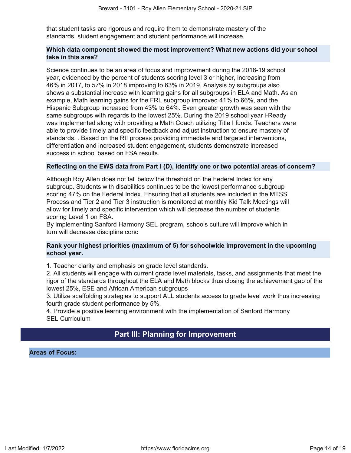that student tasks are rigorous and require them to demonstrate mastery of the standards, student engagement and student performance will increase.

#### **Which data component showed the most improvement? What new actions did your school take in this area?**

Science continues to be an area of focus and improvement during the 2018-19 school year, evidenced by the percent of students scoring level 3 or higher, increasing from 46% in 2017, to 57% in 2018 improving to 63% in 2019. Analysis by subgroups also shows a substantial increase with learning gains for all subgroups in ELA and Math. As an example, Math learning gains for the FRL subgroup improved 41% to 66%, and the Hispanic Subgroup increased from 43% to 64%. Even greater growth was seen with the same subgroups with regards to the lowest 25%. During the 2019 school year i-Ready was implemented along with providing a Math Coach utilizing Title I funds. Teachers were able to provide timely and specific feedback and adjust instruction to ensure mastery of standards. . Based on the RtI process providing immediate and targeted interventions, differentiation and increased student engagement, students demonstrate increased success in school based on FSA results.

#### **Reflecting on the EWS data from Part I (D), identify one or two potential areas of concern?**

Although Roy Allen does not fall below the threshold on the Federal Index for any subgroup. Students with disabilities continues to be the lowest performance subgroup scoring 47% on the Federal Index. Ensuring that all students are included in the MTSS Process and Tier 2 and Tier 3 instruction is monitored at monthly Kid Talk Meetings will allow for timely and specific intervention which will decrease the number of students scoring Level 1 on FSA.

By implementing Sanford Harmony SEL program, schools culture will improve which in turn will decrease discipline conc

#### **Rank your highest priorities (maximum of 5) for schoolwide improvement in the upcoming school year.**

1. Teacher clarity and emphasis on grade level standards.

2. All students will engage with current grade level materials, tasks, and assignments that meet the rigor of the standards throughout the ELA and Math blocks thus closing the achievement gap of the lowest 25%, ESE and African American subgroups

3. Utilize scaffolding strategies to support ALL students access to grade level work thus increasing fourth grade student performance by 5%.

4. Provide a positive learning environment with the implementation of Sanford Harmony SEL Curriculum

## **Part III: Planning for Improvement**

#### <span id="page-13-0"></span>**Areas of Focus:**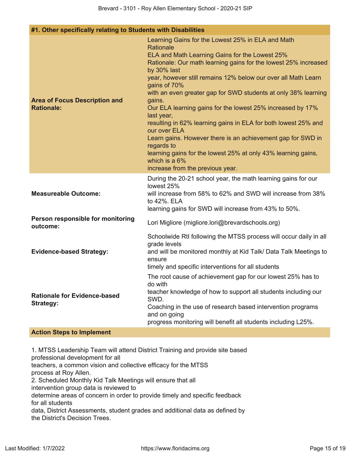#### **#1. Other specifically relating to Students with Disabilities**

| <b>Area of Focus Description and</b><br><b>Rationale:</b> | Learning Gains for the Lowest 25% in ELA and Math<br>Rationale<br>ELA and Math Learning Gains for the Lowest 25%<br>Rationale: Our math learning gains for the lowest 25% increased<br>by 30% last<br>year, however still remains 12% below our over all Math Learn<br>gains of 70%<br>with an even greater gap for SWD students at only 38% learning<br>gains.<br>Our ELA learning gains for the lowest 25% increased by 17%<br>last year,<br>resulting in 62% learning gains in ELA for both lowest 25% and<br>our over ELA<br>Learn gains. However there is an achievement gap for SWD in<br>regards to<br>learning gains for the lowest 25% at only 43% learning gains,<br>which is a 6%<br>increase from the previous year. |
|-----------------------------------------------------------|----------------------------------------------------------------------------------------------------------------------------------------------------------------------------------------------------------------------------------------------------------------------------------------------------------------------------------------------------------------------------------------------------------------------------------------------------------------------------------------------------------------------------------------------------------------------------------------------------------------------------------------------------------------------------------------------------------------------------------|
| <b>Measureable Outcome:</b>                               | During the 20-21 school year, the math learning gains for our<br>lowest 25%<br>will increase from 58% to 62% and SWD will increase from 38%<br>to 42%. ELA<br>learning gains for SWD will increase from 43% to 50%.                                                                                                                                                                                                                                                                                                                                                                                                                                                                                                              |
| Person responsible for monitoring<br>outcome:             | Lori Migliore (migliore.lori@brevardschools.org)                                                                                                                                                                                                                                                                                                                                                                                                                                                                                                                                                                                                                                                                                 |
| <b>Evidence-based Strategy:</b>                           | Schoolwide RtI following the MTSS process will occur daily in all<br>grade levels<br>and will be monitored monthly at Kid Talk/ Data Talk Meetings to<br>ensure<br>timely and specific interventions for all students                                                                                                                                                                                                                                                                                                                                                                                                                                                                                                            |
| <b>Rationale for Evidence-based</b><br><b>Strategy:</b>   | The root cause of achievement gap for our lowest 25% has to<br>do with<br>teacher knowledge of how to support all students including our<br>SWD.<br>Coaching in the use of research based intervention programs<br>and on going<br>progress monitoring will benefit all students including L25%.                                                                                                                                                                                                                                                                                                                                                                                                                                 |
| <b>Action Steps to Implement</b>                          |                                                                                                                                                                                                                                                                                                                                                                                                                                                                                                                                                                                                                                                                                                                                  |

1. MTSS Leadership Team will attend District Training and provide site based professional development for all teachers, a common vision and collective efficacy for the MTSS process at Roy Allen. 2. Scheduled Monthly Kid Talk Meetings will ensure that all intervention group data is reviewed to determine areas of concern in order to provide timely and specific feedback for all students data, District Assessments, student grades and additional data as defined by the District's Decision Trees.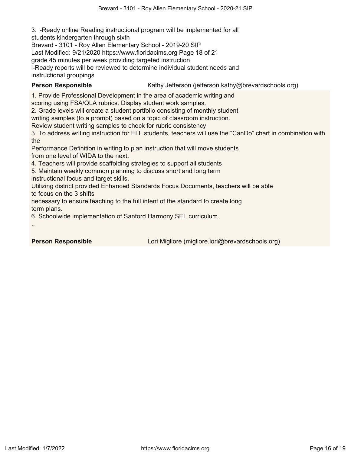3. i-Ready online Reading instructional program will be implemented for all students kindergarten through sixth

Brevard - 3101 - Roy Allen Elementary School - 2019-20 SIP

Last Modified: 9/21/2020 https://www.floridacims.org Page 18 of 21

grade 45 minutes per week providing targeted instruction

i-Ready reports will be reviewed to determine individual student needs and instructional groupings

**Person Responsible** Kathy Jefferson (jefferson.kathy@brevardschools.org)

1. Provide Professional Development in the area of academic writing and

scoring using FSA/QLA rubrics. Display student work samples.

2. Grade levels will create a student portfolio consisting of monthly student

writing samples (to a prompt) based on a topic of classroom instruction.

Review student writing samples to check for rubric consistency.

3. To address writing instruction for ELL students, teachers will use the "CanDo" chart in combination with the

Performance Definition in writing to plan instruction that will move students from one level of WIDA to the next.

4. Teachers will provide scaffolding strategies to support all students

5. Maintain weekly common planning to discuss short and long term instructional focus and target skills.

Utilizing district provided Enhanced Standards Focus Documents, teachers will be able to focus on the 3 shifts

necessary to ensure teaching to the full intent of the standard to create long term plans.

6. Schoolwide implementation of Sanford Harmony SEL curriculum.

..

**Person Responsible Lori Migliore (migliore.lori@brevardschools.org)**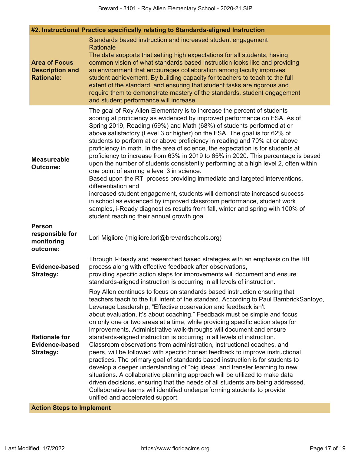| #2. Instructional Practice specifically relating to Standards-aligned Instruction |                                                                                                                                                                                                                                                                                                                                                                                                                                                                                                                                                                                                                                                                                                                                                                                                                                                                                                                                                                                                                                                                                                                                                                  |  |  |  |
|-----------------------------------------------------------------------------------|------------------------------------------------------------------------------------------------------------------------------------------------------------------------------------------------------------------------------------------------------------------------------------------------------------------------------------------------------------------------------------------------------------------------------------------------------------------------------------------------------------------------------------------------------------------------------------------------------------------------------------------------------------------------------------------------------------------------------------------------------------------------------------------------------------------------------------------------------------------------------------------------------------------------------------------------------------------------------------------------------------------------------------------------------------------------------------------------------------------------------------------------------------------|--|--|--|
| <b>Area of Focus</b><br><b>Description and</b><br><b>Rationale:</b>               | Standards based instruction and increased student engagement<br>Rationale<br>The data supports that setting high expectations for all students, having<br>common vision of what standards based instruction looks like and providing<br>an environment that encourages collaboration among faculty improves<br>student achievement. By building capacity for teachers to teach to the full<br>extent of the standard, and ensuring that student tasks are rigorous and<br>require them to demonstrate mastery of the standards, student engagement<br>and student performance will increase.                                                                                                                                                                                                                                                                                                                                                                                                                                                                                                                                                                     |  |  |  |
| <b>Measureable</b><br><b>Outcome:</b>                                             | The goal of Roy Allen Elementary is to increase the percent of students<br>scoring at proficiency as evidenced by improved performance on FSA. As of<br>Spring 2019, Reading (59%) and Math (68%) of students performed at or<br>above satisfactory (Level 3 or higher) on the FSA. The goal is for 62% of<br>students to perform at or above proficiency in reading and 70% at or above<br>proficiency in math. In the area of science, the expectation is for students at<br>proficiency to increase from 63% in 2019 to 65% in 2020. This percentage is based<br>upon the number of students consistently performing at a high level 2, often within<br>one point of earning a level 3 in science.<br>Based upon the RTi process providing immediate and targeted interventions,<br>differentiation and<br>increased student engagement, students will demonstrate increased success<br>in school as evidenced by improved classroom performance, student work<br>samples, i-Ready diagnostics results from fall, winter and spring with 100% of<br>student reaching their annual growth goal.                                                                |  |  |  |
| <b>Person</b><br>responsible for<br>monitoring<br>outcome:                        | Lori Migliore (migliore.lori@brevardschools.org)                                                                                                                                                                                                                                                                                                                                                                                                                                                                                                                                                                                                                                                                                                                                                                                                                                                                                                                                                                                                                                                                                                                 |  |  |  |
| <b>Evidence-based</b><br><b>Strategy:</b>                                         | Through I-Ready and researched based strategies with an emphasis on the RtI<br>process along with effective feedback after observations,<br>providing specific action steps for improvements will document and ensure<br>standards-aligned instruction is occurring in all levels of instruction.                                                                                                                                                                                                                                                                                                                                                                                                                                                                                                                                                                                                                                                                                                                                                                                                                                                                |  |  |  |
| <b>Rationale for</b><br><b>Evidence-based</b><br><b>Strategy:</b>                 | Roy Allen continues to focus on standards based instruction ensuring that<br>teachers teach to the full intent of the standard. According to Paul BambrickSantoyo,<br>Leverage Leadership, "Effective observation and feedback isn't<br>about evaluation, it's about coaching." Feedback must be simple and focus<br>on only one or two areas at a time, while providing specific action steps for<br>improvements. Administrative walk-throughs will document and ensure<br>standards-aligned instruction is occurring in all levels of instruction.<br>Classroom observations from administration, instructional coaches, and<br>peers, will be followed with specific honest feedback to improve instructional<br>practices. The primary goal of standards based instruction is for students to<br>develop a deeper understanding of "big ideas" and transfer learning to new<br>situations. A collaborative planning approach will be utilized to make data<br>driven decisions, ensuring that the needs of all students are being addressed.<br>Collaborative teams will identified underperforming students to provide<br>unified and accelerated support. |  |  |  |

## **Action Steps to Implement**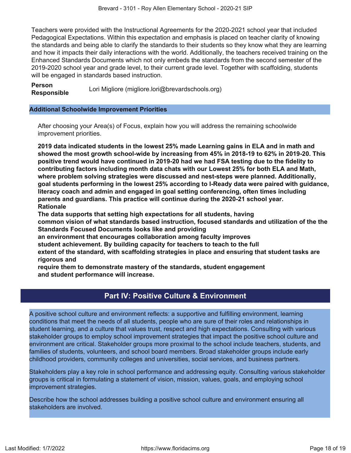Teachers were provided with the Instructional Agreements for the 2020-2021 school year that included Pedagogical Expectations. Within this expectation and emphasis is placed on teacher clarity of knowing the standards and being able to clarify the standards to their students so they know what they are learning and how it impacts their daily interactions with the world. Additionally, the teachers received training on the Enhanced Standards Documents which not only embeds the standards from the second semester of the 2019-2020 school year and grade level, to their current grade level. Together with scaffolding, students will be engaged in standards based instruction.

**Person Responsible** Lori Migliore (migliore.lori@brevardschools.org)

#### **Additional Schoolwide Improvement Priorities**

After choosing your Area(s) of Focus, explain how you will address the remaining schoolwide improvement priorities.

**2019 data indicated students in the lowest 25% made Learning gains in ELA and in math and showed the most growth school-wide by increasing from 45% in 2018-19 to 62% in 2019-20. This positive trend would have continued in 2019-20 had we had FSA testing due to the fidelity to contributing factors including month data chats with our Lowest 25% for both ELA and Math, where problem solving strategies were discussed and nest-steps were planned. Additionally, goal students performing in the lowest 25% according to I-Ready data were paired with guidance, literacy coach and admin and engaged in goal setting conferencing, often times including parents and guardians. This practice will continue during the 2020-21 school year. Rationale**

**The data supports that setting high expectations for all students, having common vision of what standards based instruction, focused standards and utilization of the the Standards Focused Documents looks like and providing**

**an environment that encourages collaboration among faculty improves**

**student achievement. By building capacity for teachers to teach to the full**

**extent of the standard, with scaffolding strategies in place and ensuring that student tasks are rigorous and**

**require them to demonstrate mastery of the standards, student engagement and student performance will increase.**

## **Part IV: Positive Culture & Environment**

<span id="page-17-0"></span>A positive school culture and environment reflects: a supportive and fulfilling environment, learning conditions that meet the needs of all students, people who are sure of their roles and relationships in student learning, and a culture that values trust, respect and high expectations. Consulting with various stakeholder groups to employ school improvement strategies that impact the positive school culture and environment are critical. Stakeholder groups more proximal to the school include teachers, students, and families of students, volunteers, and school board members. Broad stakeholder groups include early childhood providers, community colleges and universities, social services, and business partners.

Stakeholders play a key role in school performance and addressing equity. Consulting various stakeholder groups is critical in formulating a statement of vision, mission, values, goals, and employing school improvement strategies.

Describe how the school addresses building a positive school culture and environment ensuring all stakeholders are involved.